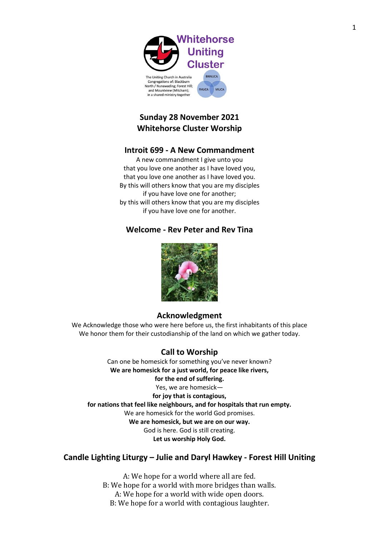

in a shared ministry together

| <b>BNNUCA</b> |             |
|---------------|-------------|
|               |             |
| <b>FHUCA</b>  | <b>MUCA</b> |

# **Sunday 28 November 2021 Whitehorse Cluster Worship**

# **Introit 699 - A New Commandment**

A new commandment I give unto you that you love one another as I have loved you, that you love one another as I have loved you. By this will others know that you are my disciples if you have love one for another; by this will others know that you are my disciples if you have love one for another.

# **Welcome - Rev Peter and Rev Tina**



# **Acknowledgment**

We Acknowledge those who were here before us, the first inhabitants of this place We honor them for their custodianship of the land on which we gather today.

# **Call to Worship**

Can one be homesick for something you've never known? **We are homesick for a just world, for peace like rivers, for the end of suffering.** Yes, we are homesick **for joy that is contagious, for nations that feel like neighbours, and for hospitals that run empty.** We are homesick for the world God promises. **We are homesick, but we are on our way.** God is here. God is still creating. **Let us worship Holy God.**

# **Candle Lighting Liturgy – Julie and Daryl Hawkey - Forest Hill Uniting**

A: We hope for a world where all are fed. B: We hope for a world with more bridges than walls. A: We hope for a world with wide open doors. B: We hope for a world with contagious laughter.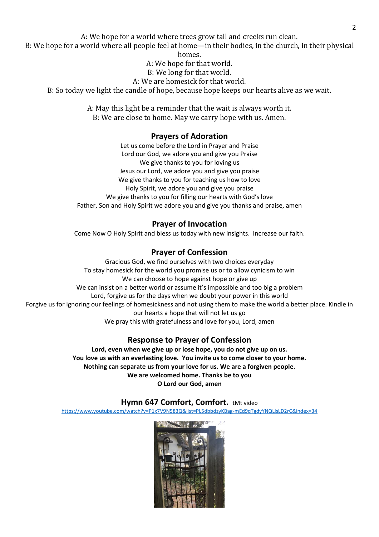A: We hope for a world where trees grow tall and creeks run clean.

B: We hope for a world where all people feel at home—in their bodies, in the church, in their physical homes.

A: We hope for that world.

- B: We long for that world.
- A: We are homesick for that world.

B: So today we light the candle of hope, because hope keeps our hearts alive as we wait.

A: May this light be a reminder that the wait is always worth it. B: We are close to home. May we carry hope with us. Amen.

## **Prayers of Adoration**

Let us come before the Lord in Prayer and Praise Lord our God, we adore you and give you Praise We give thanks to you for loving us Jesus our Lord, we adore you and give you praise We give thanks to you for teaching us how to love Holy Spirit, we adore you and give you praise We give thanks to you for filling our hearts with God's love Father, Son and Holy Spirit we adore you and give you thanks and praise, amen

## **Prayer of Invocation**

Come Now O Holy Spirit and bless us today with new insights. Increase our faith.

## **Prayer of Confession**

Gracious God, we find ourselves with two choices everyday To stay homesick for the world you promise us or to allow cynicism to win We can choose to hope against hope or give up We can insist on a better world or assume it's impossible and too big a problem Lord, forgive us for the days when we doubt your power in this world Forgive us for ignoring our feelings of homesickness and not using them to make the world a better place. Kindle in our hearts a hope that will not let us go We pray this with gratefulness and love for you, Lord, amen

## **Response to Prayer of Confession**

**Lord, even when we give up or lose hope, you do not give up on us. You love us with an everlasting love. You invite us to come closer to your home. Nothing can separate us from your love for us. We are a forgiven people. We are welcomed home. Thanks be to you O Lord our God, amen** 

## **Hymn 647 Comfort, Comfort.** tMt video

<https://www.youtube.com/watch?v=P1x7V9N583Q&list=PL5dbbdzyKBag-mEd9qTgdyYNQLlsLD2rC&index=34>

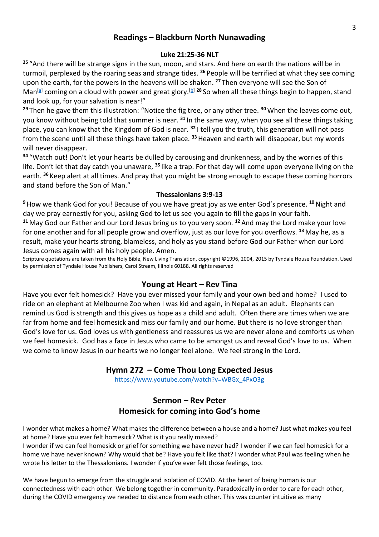## **Readings – Blackburn North Nunawading**

### **Luke 21:25-36 NLT**

**25** "And there will be strange signs in the sun, moon, and stars. And here on earth the nations will be in turmoil, perplexed by the roaring seas and strange tides. **<sup>26</sup>** People will be terrified at what they see coming upon the earth, for the powers in the heavens will be shaken. **<sup>27</sup>** Then everyone will see the Son of Man<sup>[\[a\]](https://www.biblegateway.com/passage/?search=Luke+21%3A25-36&version=NLT)</sup> coming on a cloud with power and great glory.<sup>[\[b\]](https://www.biblegateway.com/passage/?search=Luke+21%3A25-36&version=NLT) 28</sup> So when all these things begin to happen, stand and look up, for your salvation is near!"

**<sup>29</sup>** Then he gave them this illustration: "Notice the fig tree, or any other tree. **<sup>30</sup>** When the leaves come out, you know without being told that summer is near. **<sup>31</sup>** In the same way, when you see all these things taking place, you can know that the Kingdom of God is near. **<sup>32</sup>** I tell you the truth, this generation will not pass from the scene until all these things have taken place. **<sup>33</sup>**Heaven and earth will disappear, but my words will never disappear.

**<sup>34</sup>** "Watch out! Don't let your hearts be dulled by carousing and drunkenness, and by the worries of this life. Don't let that day catch you unaware, **<sup>35</sup>** like a trap. For that day will come upon everyone living on the earth. **<sup>36</sup>** Keep alert at all times. And pray that you might be strong enough to escape these coming horrors and stand before the Son of Man."

### **Thessalonians 3:9-13**

**<sup>9</sup>**How we thank God for you! Because of you we have great joy as we enter God's presence. **<sup>10</sup>**Night and day we pray earnestly for you, asking God to let us see you again to fill the gaps in your faith.

**<sup>11</sup>** May God our Father and our Lord Jesus bring us to you very soon. **<sup>12</sup>** And may the Lord make your love for one another and for all people grow and overflow, just as our love for you overflows. **<sup>13</sup>** May he, as a result, make your hearts strong, blameless, and holy as you stand before God our Father when our Lord Jesus comes again with all his holy people. Amen.

Scripture quotations are taken from the Holy Bible, New Living Translation, copyright ©1996, 2004, 2015 by Tyndale House Foundation. Used by permission of Tyndale House Publishers, Carol Stream, Illinois 60188. All rights reserved

## **Young at Heart – Rev Tina**

Have you ever felt homesick? Have you ever missed your family and your own bed and home? I used to ride on an elephant at Melbourne Zoo when I was kid and again, in Nepal as an adult. Elephants can remind us God is strength and this gives us hope as a child and adult. Often there are times when we are far from home and feel homesick and miss our family and our home. But there is no love stronger than God's love for us. God loves us with gentleness and reassures us we are never alone and comforts us when we feel homesick. God has a face in Jesus who came to be amongst us and reveal God's love to us. When we come to know Jesus in our hearts we no longer feel alone. We feel strong in the Lord.

## **Hymn 272 – Come Thou Long Expected Jesus**

[https://www.youtube.com/watch?v=WBGx\\_4PxO3g](https://www.youtube.com/watch?v=WBGx_4PxO3g)

# **Sermon – Rev Peter Homesick for coming into God's home**

I wonder what makes a home? What makes the difference between a house and a home? Just what makes you feel at home? Have you ever felt homesick? What is it you really missed?

I wonder if we can feel homesick or grief for something we have never had? I wonder if we can feel homesick for a home we have never known? Why would that be? Have you felt like that? I wonder what Paul was feeling when he wrote his letter to the Thessalonians. I wonder if you've ever felt those feelings, too.

We have begun to emerge from the struggle and isolation of COVID. At the heart of being human is our connectedness with each other. We belong together in community. Paradoxically in order to care for each other, during the COVID emergency we needed to distance from each other. This was counter intuitive as many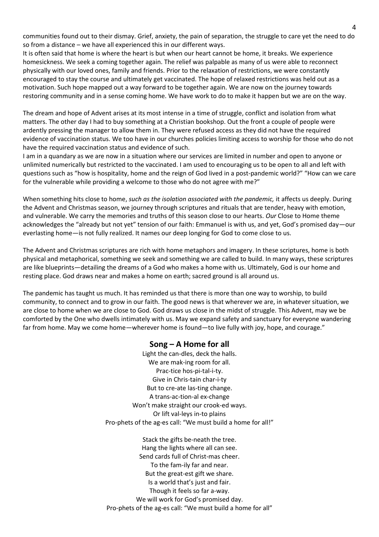communities found out to their dismay. Grief, anxiety, the pain of separation, the struggle to care yet the need to do so from a distance – we have all experienced this in our different ways.

It is often said that home is where the heart is but when our heart cannot be home, it breaks. We experience homesickness. We seek a coming together again. The relief was palpable as many of us were able to reconnect physically with our loved ones, family and friends. Prior to the relaxation of restrictions, we were constantly encouraged to stay the course and ultimately get vaccinated. The hope of relaxed restrictions was held out as a motivation. Such hope mapped out a way forward to be together again. We are now on the journey towards restoring community and in a sense coming home. We have work to do to make it happen but we are on the way.

The dream and hope of Advent arises at its most intense in a time of struggle, conflict and isolation from what matters. The other day I had to buy something at a Christian bookshop. Out the front a couple of people were ardently pressing the manager to allow them in. They were refused access as they did not have the required evidence of vaccination status. We too have in our churches policies limiting access to worship for those who do not have the required vaccination status and evidence of such.

I am in a quandary as we are now in a situation where our services are limited in number and open to anyone or unlimited numerically but restricted to the vaccinated. I am used to encouraging us to be open to all and left with questions such as "how is hospitality, home and the reign of God lived in a post-pandemic world?" "How can we care for the vulnerable while providing a welcome to those who do not agree with me?"

When something hits close to home, *such as the isolation associated with the pandemic,* it affects us deeply. During the Advent and Christmas season, we journey through scriptures and rituals that are tender, heavy with emotion, and vulnerable. We carry the memories and truths of this season close to our hearts. *Our* Close to Home theme acknowledges the "already but not yet" tension of our faith: Emmanuel is with us, and yet, God's promised day—our everlasting home—is not fully realized. It names our deep longing for God to come close to us.

The Advent and Christmas scriptures are rich with home metaphors and imagery. In these scriptures, home is both physical and metaphorical, something we seek and something we are called to build. In many ways, these scriptures are like blueprints—detailing the dreams of a God who makes a home with us. Ultimately, God is our home and resting place. God draws near and makes a home on earth; sacred ground is all around us.

The pandemic has taught us much. It has reminded us that there is more than one way to worship, to build community, to connect and to grow in our faith. The good news is that wherever we are, in whatever situation, we are close to home when we are close to God. God draws us close in the midst of struggle. This Advent, may we be comforted by the One who dwells intimately with us. May we expand safety and sanctuary for everyone wandering far from home. May we come home—wherever home is found—to live fully with joy, hope, and courage."

### **Song – A Home for all**

Light the can-dles, deck the halls. We are mak-ing room for all. Prac-tice hos-pi-tal-i-ty. Give in Chris-tain char-i-ty But to cre-ate las-ting change. A trans-ac-tion-al ex-change Won't make straight our crook-ed ways. Or lift val-leys in-to plains Pro-phets of the ag-es call: "We must build a home for all!"

Stack the gifts be-neath the tree. Hang the lights where all can see. Send cards full of Christ-mas cheer. To the fam-ily far and near. But the great-est gift we share. Is a world that's just and fair. Though it feels so far a-way. We will work for God's promised day. Pro-phets of the ag-es call: "We must build a home for all"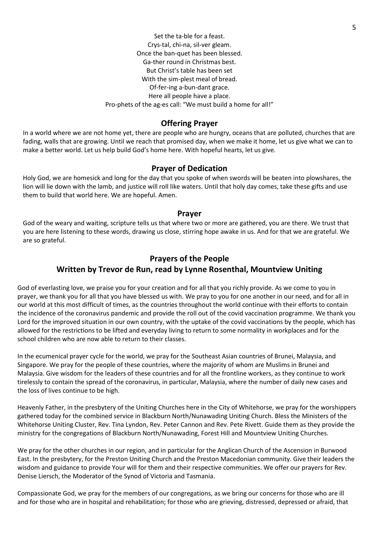Set the ta-ble for a feast. Crys-tal, chi-na, sil-ver gleam. Once the ban-quet has been blessed. Ga-ther round in Christmas best. But Christ's table has been set With the sim-plest meal of bread. Of-fer-ing a-bun-dant grace. Here all people have a place. Pro-phets of the ag-es call: "We must build a home for all!"

### **Offering Prayer**

In a world where we are not home yet, there are people who are hungry, oceans that are polluted, churches that are fading, walls that are growing. Until we reach that promised day, when we make it home, let us give what we can to make a better world. Let us help build God's home here. With hopeful hearts, let us give.

### **Prayer of Dedication**

Holy God, we are homesick and long for the day that you spoke of when swords will be beaten into plowshares, the lion will lie down with the lamb, and justice will roll like waters. Until that holy day comes, take these gifts and use them to build that world here. We are hopeful. Amen.

#### **Prayer**

God of the weary and waiting, scripture tells us that where two or more are gathered, you are there. We trust that you are here listening to these words, drawing us close, stirring hope awake in us. And for that we are grateful. We are so grateful.

# **Prayers of the People Written by Trevor de Run, read by Lynne Rosenthal, Mountview Uniting**

God of everlasting love, we praise you for your creation and for all that you richly provide. As we come to you in prayer, we thank you for all that you have blessed us with. We pray to you for one another in our need, and for all in our world at this most difficult of times, as the countries throughout the world continue with their efforts to contain the incidence of the coronavirus pandemic and provide the roll out of the covid vaccination programme. We thank you Lord for the improved situation in our own country, with the uptake of the covid vaccinations by the people, which has allowed for the restrictions to be lifted and everyday living to return to some normality in workplaces and for the school children who are now able to return to their classes.

In the ecumenical prayer cycle for the world, we pray for the Southeast Asian countries of Brunei, Malaysia, and Singapore. We pray for the people of these countries, where the majority of whom are Muslims in Brunei and Malaysia. Give wisdom for the leaders of these countries and for all the frontline workers, as they continue to work tirelessly to contain the spread of the coronavirus, in particular, Malaysia, where the number of daily new cases and the loss of lives continue to be high.

Heavenly Father, in the presbytery of the Uniting Churches here in the City of Whitehorse, we pray for the worshippers gathered today for the combined service in Blackburn North/Nunawading Uniting Church. Bless the Ministers of the Whitehorse Uniting Cluster, Rev. Tina Lyndon, Rev. Peter Cannon and Rev. Pete Rivett. Guide them as they provide the ministry for the congregations of Blackburn North/Nunawading, Forest Hill and Mountview Uniting Churches.

We pray for the other churches in our region, and in particular for the Anglican Church of the Ascension in Burwood East. In the presbytery, for the Preston Uniting Church and the Preston Macedonian community. Give their leaders the wisdom and guidance to provide Your will for them and their respective communities. We offer our prayers for Rev. Denise Liersch, the Moderator of the Synod of Victoria and Tasmania.

Compassionate God, we pray for the members of our congregations, as we bring our concerns for those who are ill and for those who are in hospital and rehabilitation; for those who are grieving, distressed, depressed or afraid, that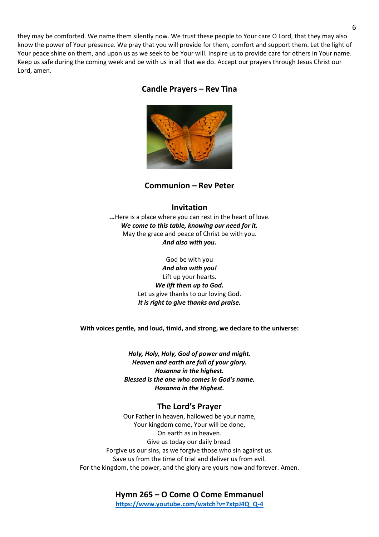they may be comforted. We name them silently now. We trust these people to Your care O Lord, that they may also know the power of Your presence. We pray that you will provide for them, comfort and support them. Let the light of Your peace shine on them, and upon us as we seek to be Your will. Inspire us to provide care for others in Your name. Keep us safe during the coming week and be with us in all that we do. Accept our prayers through Jesus Christ our Lord, amen.

### **Candle Prayers – Rev Tina**



**Communion – Rev Peter** 

### **Invitation**

**...**Here is a place where you can rest in the heart of love. *We come to this table, knowing our need for it.* May the grace and peace of Christ be with you. *And also with you.*

> God be with you *And also with you!* Lift up your hearts. *We lift them up to God.* Let us give thanks to our loving God. *It is right to give thanks and praise.*

**With voices gentle, and loud, timid, and strong, we declare to the universe:**

*Holy, Holy, Holy, God of power and might. Heaven and earth are full of your glory. Hosanna in the highest. Blessed is the one who comes in God's name. Hosanna in the Highest.*

#### **The Lord's Prayer**

Our Father in heaven, hallowed be your name, Your kingdom come, Your will be done, On earth as in heaven. Give us today our daily bread. Forgive us our sins, as we forgive those who sin against us. Save us from the time of trial and deliver us from evil. For the kingdom, the power, and the glory are yours now and forever. Amen.

> **Hymn 265 – O Come O Come Emmanuel [https://www.youtube.com/watch?v=7xtpJ4Q\\_Q-4](https://www.youtube.com/watch?v=7xtpJ4Q_Q-4)**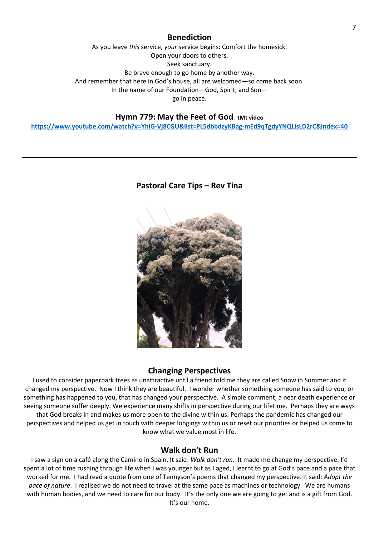### **Benediction**

As you leave *this* service, *your* service begins: Comfort the homesick. Open your doors to others. Seek sanctuary. Be brave enough to go home by another way. And remember that here in God's house, all are welcomed—so come back soon. In the name of our Foundation—God, Spirit, and Son go in peace.

### **Hymn 779: May the Feet of God tMt video**

**<https://www.youtube.com/watch?v=YhiG-Vj8CGU&list=PL5dbbdzyKBag-mEd9qTgdyYNQLlsLD2rC&index=40>**

#### **Pastoral Care Tips – Rev Tina**



#### **Changing Perspectives**

I used to consider paperbark trees as unattractive until a friend told me they are called Snow in Summer and it changed my perspective. Now I think they are beautiful. I wonder whether something someone has said to you, or something has happened to you, that has changed your perspective. A simple comment, a near death experience or seeing someone suffer deeply. We experience many shifts in perspective during our lifetime. Perhaps they are ways that God breaks in and makes us more open to the divine within us. Perhaps the pandemic has changed our perspectives and helped us get in touch with deeper longings within us or reset our priorities or helped us come to know what we value most in life.

### **Walk don't Run**

I saw a sign on a café along the Camino in Spain. It said: *Walk don't run.* It made me change my perspective. I'd spent a lot of time rushing through life when I was younger but as I aged, I learnt to go at God's pace and a pace that worked for me. I had read a quote from one of Tennyson's poems that changed my perspective. It said: *Adopt the pace of nature*. I realised we do not need to travel at the same pace as machines or technology. We are humans with human bodies, and we need to care for our body. It's the only one we are going to get and is a gift from God. It's our home.